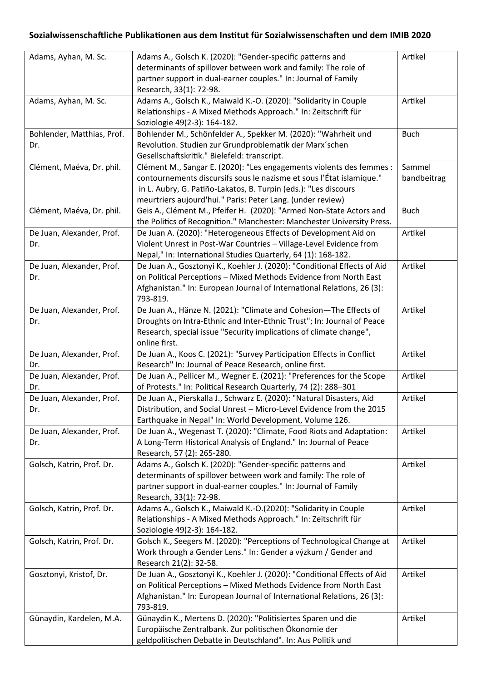## **Sozialwissenschaftliche Publikationen aus dem Institut für Sozialwissenschaften und dem IMIB 2020**

| Adams, Ayhan, M. Sc.       | Adams A., Golsch K. (2020): "Gender-specific patterns and                | Artikel     |
|----------------------------|--------------------------------------------------------------------------|-------------|
|                            |                                                                          |             |
|                            | determinants of spillover between work and family: The role of           |             |
|                            | partner support in dual-earner couples." In: Journal of Family           |             |
|                            | Research, 33(1): 72-98.                                                  |             |
| Adams, Ayhan, M. Sc.       | Adams A., Golsch K., Maiwald K.-O. (2020): "Solidarity in Couple         | Artikel     |
|                            | Relationships - A Mixed Methods Approach." In: Zeitschrift für           |             |
|                            | Soziologie 49(2-3): 164-182.                                             |             |
| Bohlender, Matthias, Prof. | Bohlender M., Schönfelder A., Spekker M. (2020): "Wahrheit und           | <b>Buch</b> |
| Dr.                        | Revolution. Studien zur Grundproblematik der Marx'schen                  |             |
|                            | Gesellschaftskritik." Bielefeld: transcript.                             |             |
|                            |                                                                          |             |
| Clément, Maéva, Dr. phil.  | Clément M., Sangar E. (2020): "Les engagements violents des femmes :     | Sammel      |
|                            | contournements discursifs sous le nazisme et sous l'État islamique."     | bandbeitrag |
|                            | in L. Aubry, G. Patiño-Lakatos, B. Turpin (eds.): "Les discours          |             |
|                            | meurtriers aujourd'hui." Paris: Peter Lang. (under review)               |             |
| Clément, Maéva, Dr. phil.  | Geis A., Clément M., Pfeifer H. (2020): "Armed Non-State Actors and      | <b>Buch</b> |
|                            | the Politics of Recognition." Manchester: Manchester University Press.   |             |
| De Juan, Alexander, Prof.  | De Juan A. (2020): "Heterogeneous Effects of Development Aid on          | Artikel     |
| Dr.                        | Violent Unrest in Post-War Countries - Village-Level Evidence from       |             |
|                            | Nepal," In: International Studies Quarterly, 64 (1): 168-182.            |             |
| De Juan, Alexander, Prof.  | De Juan A., Gosztonyi K., Koehler J. (2020): "Conditional Effects of Aid | Artikel     |
|                            |                                                                          |             |
| Dr.                        | on Political Perceptions - Mixed Methods Evidence from North East        |             |
|                            | Afghanistan." In: European Journal of International Relations, 26 (3):   |             |
|                            | 793-819.                                                                 |             |
| De Juan, Alexander, Prof.  | De Juan A., Hänze N. (2021): "Climate and Cohesion-The Effects of        | Artikel     |
| Dr.                        | Droughts on Intra-Ethnic and Inter-Ethnic Trust"; In: Journal of Peace   |             |
|                            | Research, special issue "Security implications of climate change",       |             |
|                            | online first.                                                            |             |
| De Juan, Alexander, Prof.  | De Juan A., Koos C. (2021): "Survey Participation Effects in Conflict    | Artikel     |
| Dr.                        | Research" In: Journal of Peace Research, online first.                   |             |
| De Juan, Alexander, Prof.  | De Juan A., Pellicer M., Wegner E. (2021): "Preferences for the Scope    | Artikel     |
| Dr.                        | of Protests." In: Political Research Quarterly, 74 (2): 288-301          |             |
|                            |                                                                          |             |
| De Juan, Alexander, Prof.  | De Juan A., Pierskalla J., Schwarz E. (2020): "Natural Disasters, Aid    | Artikel     |
| Dr.                        | Distribution, and Social Unrest - Micro-Level Evidence from the 2015     |             |
|                            | Earthquake in Nepal" In: World Development, Volume 126.                  |             |
| De Juan, Alexander, Prof.  | De Juan A., Wegenast T. (2020): "Climate, Food Riots and Adaptation:     | Artikel     |
| Dr.                        | A Long-Term Historical Analysis of England." In: Journal of Peace        |             |
|                            | Research, 57 (2): 265-280.                                               |             |
| Golsch, Katrin, Prof. Dr.  | Adams A., Golsch K. (2020): "Gender-specific patterns and                | Artikel     |
|                            | determinants of spillover between work and family: The role of           |             |
|                            | partner support in dual-earner couples." In: Journal of Family           |             |
|                            | Research, 33(1): 72-98.                                                  |             |
| Golsch, Katrin, Prof. Dr.  | Adams A., Golsch K., Maiwald K.-O.(2020): "Solidarity in Couple          | Artikel     |
|                            |                                                                          |             |
|                            | Relationships - A Mixed Methods Approach." In: Zeitschrift für           |             |
|                            | Soziologie 49(2-3): 164-182.                                             |             |
| Golsch, Katrin, Prof. Dr.  | Golsch K., Seegers M. (2020): "Perceptions of Technological Change at    | Artikel     |
|                            | Work through a Gender Lens." In: Gender a výzkum / Gender and            |             |
|                            | Research 21(2): 32-58.                                                   |             |
| Gosztonyi, Kristof, Dr.    | De Juan A., Gosztonyi K., Koehler J. (2020): "Conditional Effects of Aid | Artikel     |
|                            | on Political Perceptions - Mixed Methods Evidence from North East        |             |
|                            | Afghanistan." In: European Journal of International Relations, 26 (3):   |             |
|                            | 793-819.                                                                 |             |
| Günaydin, Kardelen, M.A.   | Günaydin K., Mertens D. (2020): "Politisiertes Sparen und die            | Artikel     |
|                            | Europäische Zentralbank. Zur politischen Ökonomie der                    |             |
|                            |                                                                          |             |
|                            | geldpolitischen Debatte in Deutschland". In: Aus Politik und             |             |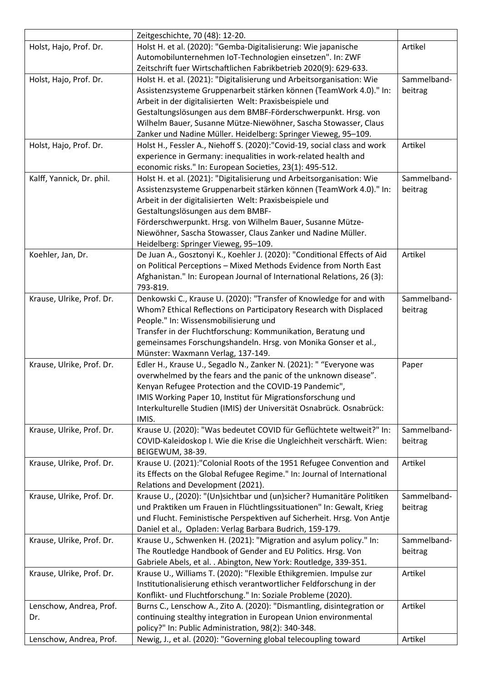|                           | Zeitgeschichte, 70 (48): 12-20.                                          |             |
|---------------------------|--------------------------------------------------------------------------|-------------|
| Holst, Hajo, Prof. Dr.    | Holst H. et al. (2020): "Gemba-Digitalisierung: Wie japanische           | Artikel     |
|                           | Automobilunternehmen IoT-Technologien einsetzen". In: ZWF                |             |
|                           | Zeitschrift fuer Wirtschaftlichen Fabrikbetrieb 2020(9): 629-633.        |             |
| Holst, Hajo, Prof. Dr.    | Holst H. et al. (2021): "Digitalisierung und Arbeitsorganisation: Wie    | Sammelband- |
|                           | Assistenzsysteme Gruppenarbeit stärken können (TeamWork 4.0)." In:       | beitrag     |
|                           | Arbeit in der digitalisierten Welt: Praxisbeispiele und                  |             |
|                           | Gestaltungslösungen aus dem BMBF-Förderschwerpunkt. Hrsg. von            |             |
|                           | Wilhelm Bauer, Susanne Mütze-Niewöhner, Sascha Stowasser, Claus          |             |
|                           | Zanker und Nadine Müller. Heidelberg: Springer Vieweg, 95-109.           |             |
| Holst, Hajo, Prof. Dr.    | Holst H., Fessler A., Niehoff S. (2020):"Covid-19, social class and work | Artikel     |
|                           | experience in Germany: inequalities in work-related health and           |             |
|                           | economic risks." In: European Societies, 23(1): 495-512.                 |             |
| Kalff, Yannick, Dr. phil. | Holst H. et al. (2021): "Digitalisierung und Arbeitsorganisation: Wie    | Sammelband- |
|                           | Assistenzsysteme Gruppenarbeit stärken können (TeamWork 4.0)." In:       | beitrag     |
|                           | Arbeit in der digitalisierten Welt: Praxisbeispiele und                  |             |
|                           | Gestaltungslösungen aus dem BMBF-                                        |             |
|                           | Förderschwerpunkt. Hrsg. von Wilhelm Bauer, Susanne Mütze-               |             |
|                           | Niewöhner, Sascha Stowasser, Claus Zanker und Nadine Müller.             |             |
|                           | Heidelberg: Springer Vieweg, 95-109.                                     |             |
| Koehler, Jan, Dr.         | De Juan A., Gosztonyi K., Koehler J. (2020): "Conditional Effects of Aid | Artikel     |
|                           | on Political Perceptions - Mixed Methods Evidence from North East        |             |
|                           | Afghanistan." In: European Journal of International Relations, 26 (3):   |             |
|                           | 793-819.                                                                 |             |
| Krause, Ulrike, Prof. Dr. | Denkowski C., Krause U. (2020): "Transfer of Knowledge for and with      | Sammelband- |
|                           | Whom? Ethical Reflections on Participatory Research with Displaced       | beitrag     |
|                           | People." In: Wissensmobilisierung und                                    |             |
|                           | Transfer in der Fluchtforschung: Kommunikation, Beratung und             |             |
|                           | gemeinsames Forschungshandeln. Hrsg. von Monika Gonser et al.,           |             |
|                           | Münster: Waxmann Verlag, 137-149.                                        |             |
| Krause, Ulrike, Prof. Dr. | Edler H., Krause U., Segadlo N., Zanker N. (2021): " "Everyone was       | Paper       |
|                           | overwhelmed by the fears and the panic of the unknown disease".          |             |
|                           | Kenyan Refugee Protection and the COVID-19 Pandemic",                    |             |
|                           | IMIS Working Paper 10, Institut für Migrationsforschung und              |             |
|                           | Interkulturelle Studien (IMIS) der Universität Osnabrück. Osnabrück:     |             |
|                           | IMIS.                                                                    |             |
| Krause, Ulrike, Prof. Dr. | Krause U. (2020): "Was bedeutet COVID für Geflüchtete weltweit?" In:     | Sammelband- |
|                           | COVID-Kaleidoskop I. Wie die Krise die Ungleichheit verschärft. Wien:    | beitrag     |
|                           | BEIGEWUM, 38-39.                                                         |             |
| Krause, Ulrike, Prof. Dr. | Krause U. (2021):"Colonial Roots of the 1951 Refugee Convention and      | Artikel     |
|                           | its Effects on the Global Refugee Regime." In: Journal of International  |             |
|                           | Relations and Development (2021).                                        |             |
| Krause, Ulrike, Prof. Dr. | Krause U., (2020): "(Un)sichtbar und (un)sicher? Humanitäre Politiken    | Sammelband- |
|                           | und Praktiken um Frauen in Flüchtlingssituationen" In: Gewalt, Krieg     | beitrag     |
|                           | und Flucht. Feministische Perspektiven auf Sicherheit. Hrsg. Von Antje   |             |
|                           | Daniel et al., Opladen: Verlag Barbara Budrich, 159-179.                 |             |
| Krause, Ulrike, Prof. Dr. | Krause U., Schwenken H. (2021): "Migration and asylum policy." In:       | Sammelband- |
|                           | The Routledge Handbook of Gender and EU Politics. Hrsg. Von              | beitrag     |
|                           | Gabriele Abels, et al. . Abington, New York: Routledge, 339-351.         |             |
| Krause, Ulrike, Prof. Dr. | Krause U., Williams T. (2020): "Flexible Ethikgremien. Impulse zur       | Artikel     |
|                           | Institutionalisierung ethisch verantwortlicher Feldforschung in der      |             |
|                           | Konflikt- und Fluchtforschung." In: Soziale Probleme (2020).             |             |
| Lenschow, Andrea, Prof.   | Burns C., Lenschow A., Zito A. (2020): "Dismantling, disintegration or   | Artikel     |
| Dr.                       | continuing stealthy integration in European Union environmental          |             |
|                           | policy?" In: Public Administration, 98(2): 340-348.                      |             |
| Lenschow, Andrea, Prof.   | Newig, J., et al. (2020): "Governing global telecoupling toward          | Artikel     |
|                           |                                                                          |             |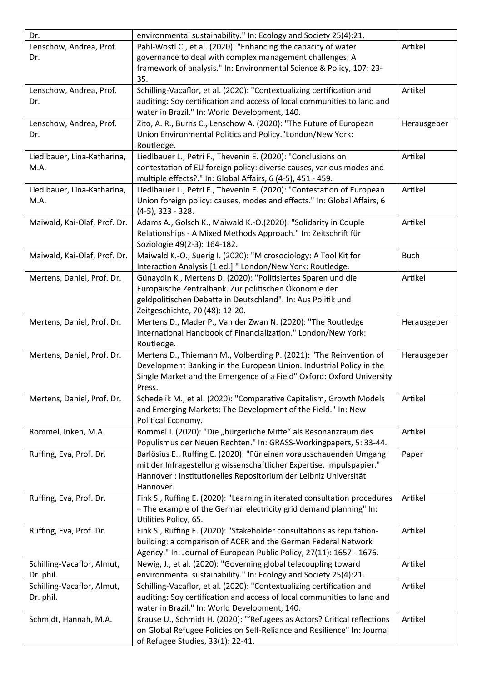| Dr.                          | environmental sustainability." In: Ecology and Society 25(4):21.          |             |
|------------------------------|---------------------------------------------------------------------------|-------------|
| Lenschow, Andrea, Prof.      | Pahl-Wostl C., et al. (2020): "Enhancing the capacity of water            | Artikel     |
| Dr.                          | governance to deal with complex management challenges: A                  |             |
|                              | framework of analysis." In: Environmental Science & Policy, 107: 23-      |             |
|                              | 35.                                                                       |             |
| Lenschow, Andrea, Prof.      | Schilling-Vacaflor, et al. (2020): "Contextualizing certification and     | Artikel     |
| Dr.                          | auditing: Soy certification and access of local communities to land and   |             |
|                              | water in Brazil." In: World Development, 140.                             |             |
| Lenschow, Andrea, Prof.      | Zito, A. R., Burns C., Lenschow A. (2020): "The Future of European        | Herausgeber |
| Dr.                          | Union Environmental Politics and Policy."London/New York:                 |             |
|                              | Routledge.                                                                |             |
| Liedlbauer, Lina-Katharina,  | Liedlbauer L., Petri F., Thevenin E. (2020): "Conclusions on              | Artikel     |
| M.A.                         | contestation of EU foreign policy: diverse causes, various modes and      |             |
|                              | multiple effects?." In: Global Affairs, 6 (4-5), 451 - 459.               |             |
| Liedlbauer, Lina-Katharina,  | Liedlbauer L., Petri F., Thevenin E. (2020): "Contestation of European    | Artikel     |
| M.A.                         | Union foreign policy: causes, modes and effects." In: Global Affairs, 6   |             |
|                              | $(4-5)$ , 323 - 328.                                                      |             |
| Maiwald, Kai-Olaf, Prof. Dr. | Adams A., Golsch K., Maiwald K.-O.(2020): "Solidarity in Couple           | Artikel     |
|                              | Relationships - A Mixed Methods Approach." In: Zeitschrift für            |             |
|                              | Soziologie 49(2-3): 164-182.                                              |             |
| Maiwald, Kai-Olaf, Prof. Dr. | Maiwald K.-O., Suerig I. (2020): "Microsociology: A Tool Kit for          | <b>Buch</b> |
|                              | Interaction Analysis [1 ed.] " London/New York: Routledge.                |             |
| Mertens, Daniel, Prof. Dr.   | Günaydin K., Mertens D. (2020): "Politisiertes Sparen und die             | Artikel     |
|                              | Europäische Zentralbank. Zur politischen Ökonomie der                     |             |
|                              | geldpolitischen Debatte in Deutschland". In: Aus Politik und              |             |
|                              | Zeitgeschichte, 70 (48): 12-20.                                           |             |
| Mertens, Daniel, Prof. Dr.   | Mertens D., Mader P., Van der Zwan N. (2020): "The Routledge              | Herausgeber |
|                              | International Handbook of Financialization." London/New York:             |             |
|                              | Routledge.                                                                |             |
| Mertens, Daniel, Prof. Dr.   | Mertens D., Thiemann M., Volberding P. (2021): "The Reinvention of        | Herausgeber |
|                              | Development Banking in the European Union. Industrial Policy in the       |             |
|                              | Single Market and the Emergence of a Field" Oxford: Oxford University     |             |
|                              | Press.                                                                    |             |
| Mertens, Daniel, Prof. Dr.   | Schedelik M., et al. (2020): "Comparative Capitalism, Growth Models       | Artikel     |
|                              | and Emerging Markets: The Development of the Field." In: New              |             |
|                              | Political Economy.                                                        |             |
| Rommel, Inken, M.A.          | Rommel I. (2020): "Die "bürgerliche Mitte" als Resonanzraum des           | Artikel     |
|                              | Populismus der Neuen Rechten." In: GRASS-Workingpapers, 5: 33-44.         |             |
| Ruffing, Eva, Prof. Dr.      | Barlösius E., Ruffing E. (2020): "Für einen vorausschauenden Umgang       | Paper       |
|                              | mit der Infragestellung wissenschaftlicher Expertise. Impulspapier."      |             |
|                              | Hannover : Institutionelles Repositorium der Leibniz Universität          |             |
|                              | Hannover.                                                                 |             |
| Ruffing, Eva, Prof. Dr.      | Fink S., Ruffing E. (2020): "Learning in iterated consultation procedures | Artikel     |
|                              | - The example of the German electricity grid demand planning" In:         |             |
|                              | Utilities Policy, 65.                                                     |             |
| Ruffing, Eva, Prof. Dr.      | Fink S., Ruffing E. (2020): "Stakeholder consultations as reputation-     | Artikel     |
|                              | building: a comparison of ACER and the German Federal Network             |             |
|                              | Agency." In: Journal of European Public Policy, 27(11): 1657 - 1676.      |             |
| Schilling-Vacaflor, Almut,   | Newig, J., et al. (2020): "Governing global telecoupling toward           | Artikel     |
| Dr. phil.                    | environmental sustainability." In: Ecology and Society 25(4):21.          |             |
| Schilling-Vacaflor, Almut,   | Schilling-Vacaflor, et al. (2020): "Contextualizing certification and     | Artikel     |
| Dr. phil.                    | auditing: Soy certification and access of local communities to land and   |             |
|                              | water in Brazil." In: World Development, 140.                             |             |
| Schmidt, Hannah, M.A.        | Krause U., Schmidt H. (2020): "'Refugees as Actors? Critical reflections  | Artikel     |
|                              | on Global Refugee Policies on Self-Reliance and Resilience" In: Journal   |             |
|                              | of Refugee Studies, 33(1): 22-41.                                         |             |